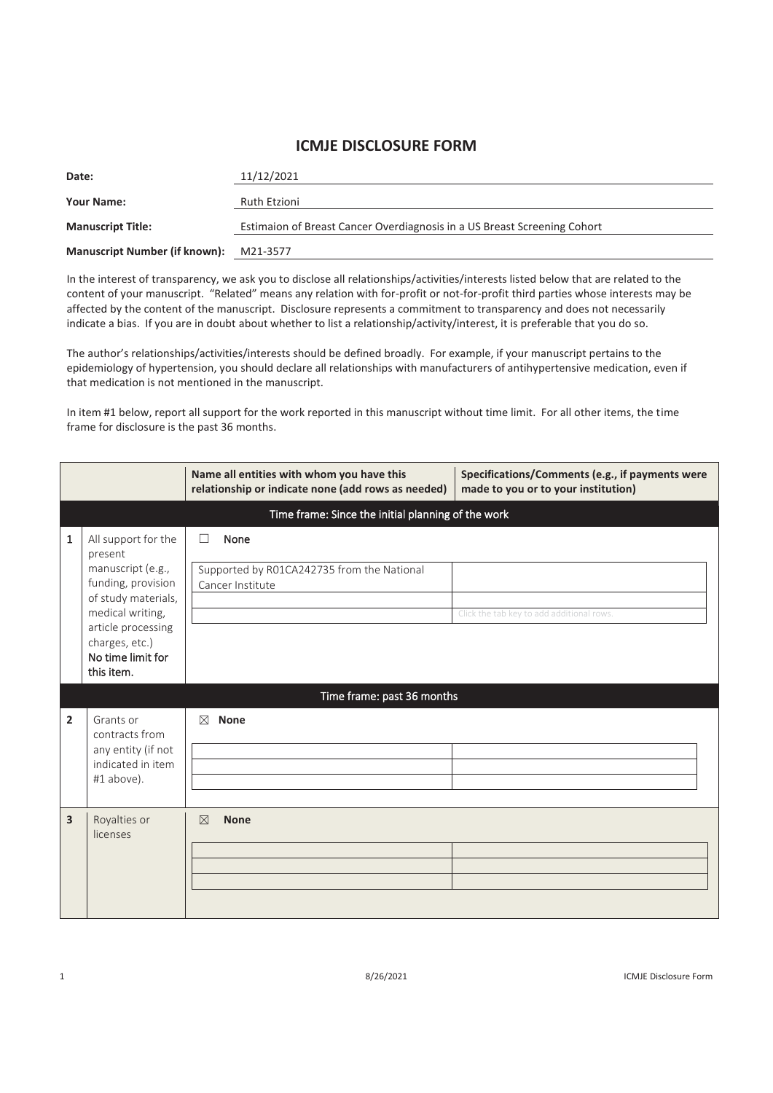## **ICMJE DISCLOSURE FORM**

| Date:                                | 11/12/2021                                                               |
|--------------------------------------|--------------------------------------------------------------------------|
| <b>Your Name:</b>                    | Ruth Etzioni                                                             |
| <b>Manuscript Title:</b>             | Estimaion of Breast Cancer Overdiagnosis in a US Breast Screening Cohort |
| <b>Manuscript Number (if known):</b> | M21-3577                                                                 |

In the interest of transparency, we ask you to disclose all relationships/activities/interests listed below that are related to the content of your manuscript. "Related" means any relation with for-profit or not-for-profit third parties whose interests may be affected by the content of the manuscript. Disclosure represents a commitment to transparency and does not necessarily indicate a bias. If you are in doubt about whether to list a relationship/activity/interest, it is preferable that you do so.

The author's relationships/activities/interests should be defined broadly. For example, if your manuscript pertains to the epidemiology of hypertension, you should declare all relationships with manufacturers of antihypertensive medication, even if that medication is not mentioned in the manuscript.

In item #1 below, report all support for the work reported in this manuscript without time limit. For all other items, the time frame for disclosure is the past 36 months.

|                                |                                                                                                                                                                                                                                | Name all entities with whom you have this<br>relationship or indicate none (add rows as needed)                               | Specifications/Comments (e.g., if payments were<br>made to you or to your institution) |  |
|--------------------------------|--------------------------------------------------------------------------------------------------------------------------------------------------------------------------------------------------------------------------------|-------------------------------------------------------------------------------------------------------------------------------|----------------------------------------------------------------------------------------|--|
|                                | Time frame: Since the initial planning of the work                                                                                                                                                                             |                                                                                                                               |                                                                                        |  |
| $\mathbf{1}$<br>$\overline{2}$ | All support for the<br>present<br>manuscript (e.g.,<br>funding, provision<br>of study materials,<br>medical writing,<br>article processing<br>charges, etc.)<br>No time limit for<br>this item.<br>Grants or<br>contracts from | None<br>П<br>Supported by R01CA242735 from the National<br>Cancer Institute<br>Time frame: past 36 months<br>⊠<br><b>None</b> | Click the tab key to add additional rows.                                              |  |
| 3                              | any entity (if not<br>indicated in item<br>#1 above).<br>Royalties or                                                                                                                                                          | <b>None</b><br>$\boxtimes$                                                                                                    |                                                                                        |  |
|                                | licenses                                                                                                                                                                                                                       |                                                                                                                               |                                                                                        |  |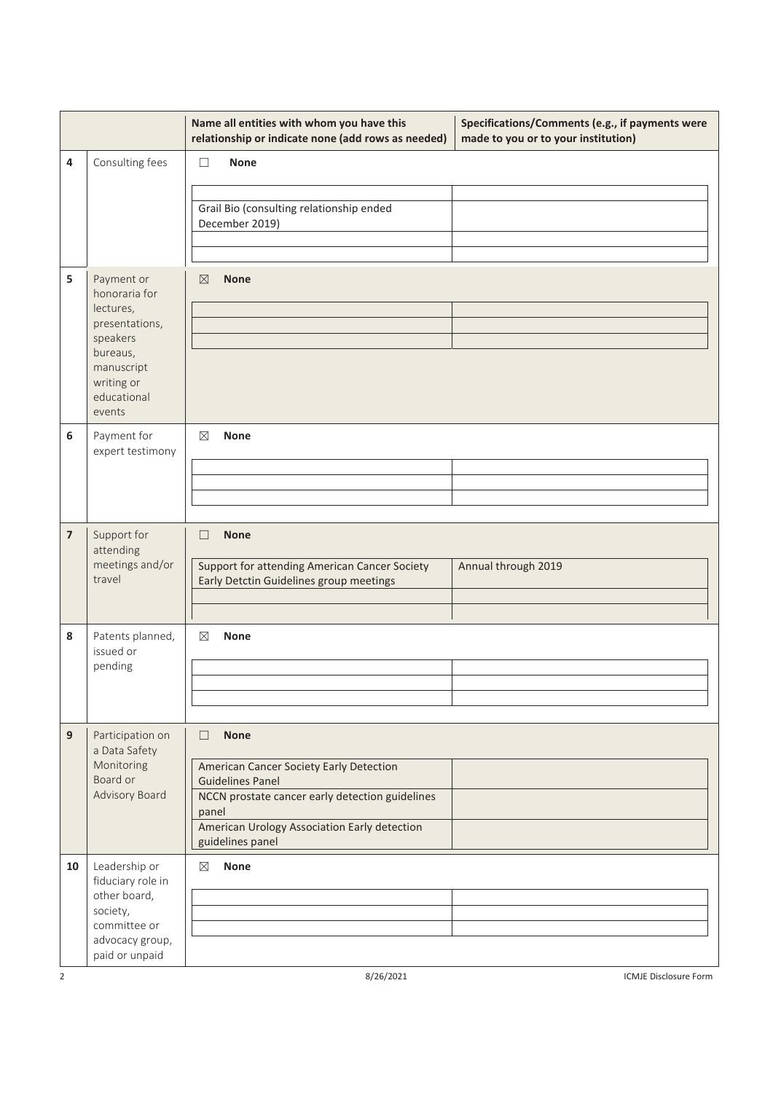|                         |                                                                                                                                         | Name all entities with whom you have this<br>relationship or indicate none (add rows as needed)                                                                                                                             | Specifications/Comments (e.g., if payments were<br>made to you or to your institution) |
|-------------------------|-----------------------------------------------------------------------------------------------------------------------------------------|-----------------------------------------------------------------------------------------------------------------------------------------------------------------------------------------------------------------------------|----------------------------------------------------------------------------------------|
| 4                       | Consulting fees                                                                                                                         | <b>None</b><br>$\mathbf{L}$<br>Grail Bio (consulting relationship ended<br>December 2019)                                                                                                                                   |                                                                                        |
| 5                       | Payment or<br>honoraria for<br>lectures,<br>presentations,<br>speakers<br>bureaus,<br>manuscript<br>writing or<br>educational<br>events | $\boxtimes$<br><b>None</b>                                                                                                                                                                                                  |                                                                                        |
| 6                       | Payment for<br>expert testimony                                                                                                         | <b>None</b><br>⊠                                                                                                                                                                                                            |                                                                                        |
| $\overline{\mathbf{z}}$ | Support for<br>attending<br>meetings and/or<br>travel                                                                                   | <b>None</b><br>$\Box$<br>Support for attending American Cancer Society<br>Early Detctin Guidelines group meetings                                                                                                           | Annual through 2019                                                                    |
| 8                       | Patents planned,<br>issued or<br>pending                                                                                                | $\boxtimes$<br><b>None</b>                                                                                                                                                                                                  |                                                                                        |
| 9                       | Participation on<br>a Data Safety<br>Monitoring<br>Board or<br>Advisory Board                                                           | $\Box$<br><b>None</b><br>American Cancer Society Early Detection<br><b>Guidelines Panel</b><br>NCCN prostate cancer early detection guidelines<br>panel<br>American Urology Association Early detection<br>guidelines panel |                                                                                        |
| 10<br>2                 | Leadership or<br>fiduciary role in<br>other board,<br>society,<br>committee or<br>advocacy group,<br>paid or unpaid                     | <b>None</b><br>$\boxtimes$<br>8/26/2021                                                                                                                                                                                     | ICMJE Disclosure Form                                                                  |